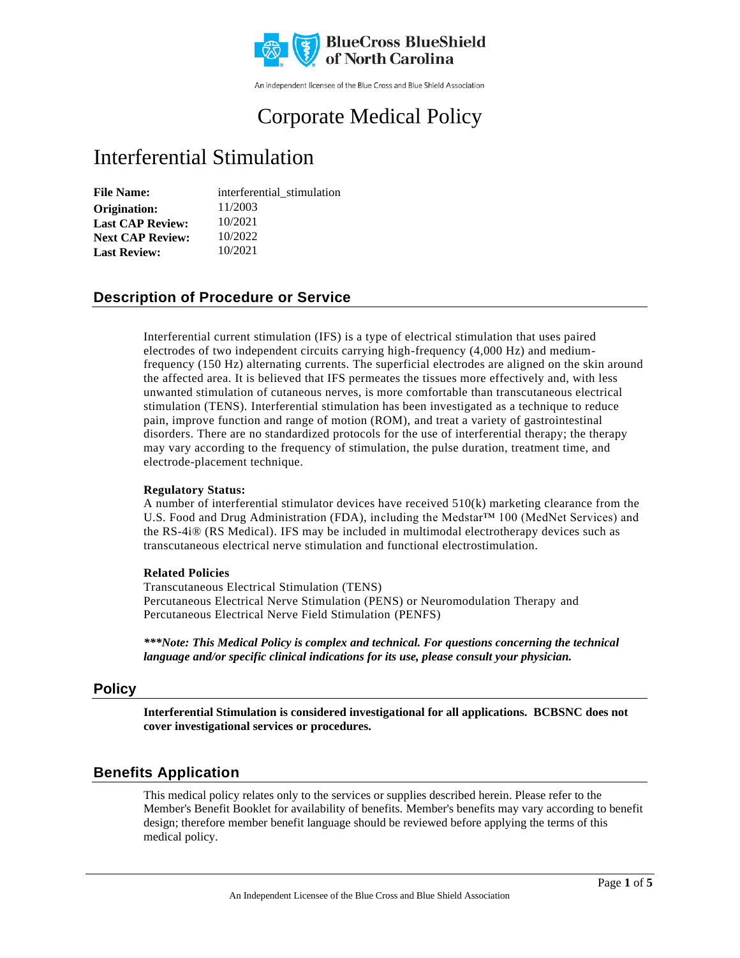

An independent licensee of the Blue Cross and Blue Shield Association

# Corporate Medical Policy

# Interferential Stimulation

| <b>File Name:</b>       | interferential stimulation |
|-------------------------|----------------------------|
| Origination:            | 11/2003                    |
| <b>Last CAP Review:</b> | 10/2021                    |
| <b>Next CAP Review:</b> | 10/2022                    |
| <b>Last Review:</b>     | 10/2021                    |

### **Description of Procedure or Service**

Interferential current stimulation (IFS) is a type of electrical stimulation that uses paired electrodes of two independent circuits carrying high-frequency (4,000 Hz) and mediumfrequency (150 Hz) alternating currents. The superficial electrodes are aligned on the skin around the affected area. It is believed that IFS permeates the tissues more effectively and, with less unwanted stimulation of cutaneous nerves, is more comfortable than transcutaneous electrical stimulation (TENS). Interferential stimulation has been investigated as a technique to reduce pain, improve function and range of motion (ROM), and treat a variety of gastrointestinal disorders. There are no standardized protocols for the use of interferential therapy; the therapy may vary according to the frequency of stimulation, the pulse duration, treatment time, and electrode-placement technique.

#### **Regulatory Status:**

A number of interferential stimulator devices have received  $510(k)$  marketing clearance from the U.S. Food and Drug Administration (FDA), including the Medstar™ 100 (MedNet Services) and the RS-4i® (RS Medical). IFS may be included in multimodal electrotherapy devices such as transcutaneous electrical nerve stimulation and functional electrostimulation.

#### **Related Policies**

Transcutaneous Electrical Stimulation (TENS) Percutaneous Electrical Nerve Stimulation (PENS) or Neuromodulation Therapy and Percutaneous Electrical Nerve Field Stimulation (PENFS)

*\*\*\*Note: This Medical Policy is complex and technical. For questions concerning the technical language and/or specific clinical indications for its use, please consult your physician.*

#### **Policy**

**Interferential Stimulation is considered investigational for all applications. BCBSNC does not cover investigational services or procedures.**

#### **Benefits Application**

This medical policy relates only to the services or supplies described herein. Please refer to the Member's Benefit Booklet for availability of benefits. Member's benefits may vary according to benefit design; therefore member benefit language should be reviewed before applying the terms of this medical policy.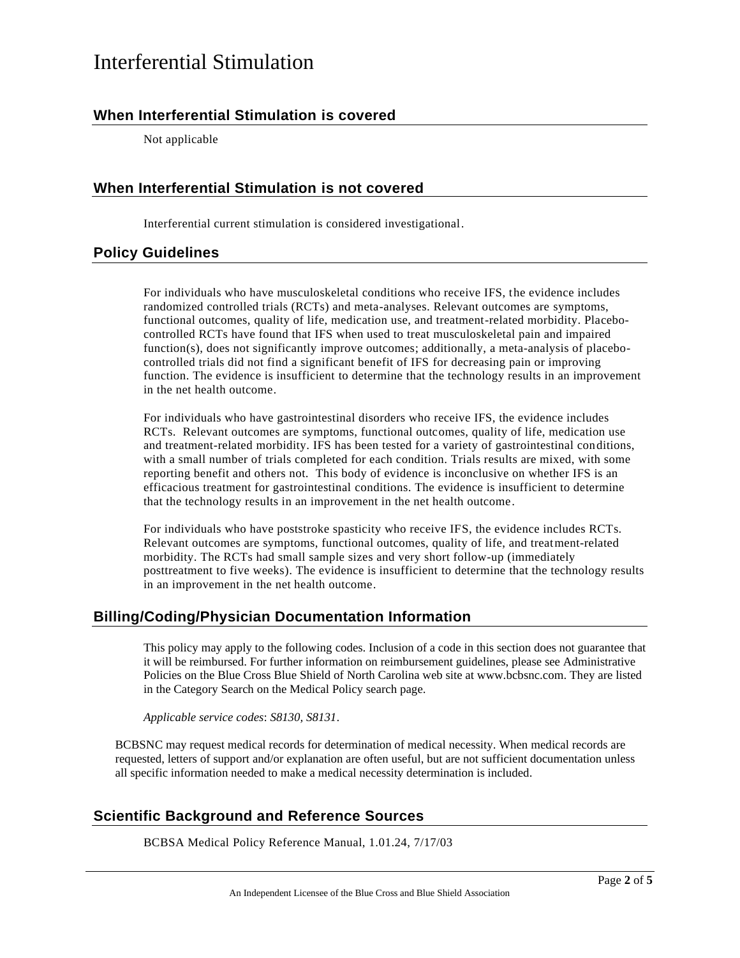### **When Interferential Stimulation is covered**

Not applicable

### **When Interferential Stimulation is not covered**

Interferential current stimulation is considered investigational.

### **Policy Guidelines**

For individuals who have musculoskeletal conditions who receive IFS, the evidence includes randomized controlled trials (RCTs) and meta-analyses. Relevant outcomes are symptoms, functional outcomes, quality of life, medication use, and treatment-related morbidity. Placebocontrolled RCTs have found that IFS when used to treat musculoskeletal pain and impaired function(s), does not significantly improve outcomes; additionally, a meta-analysis of placebocontrolled trials did not find a significant benefit of IFS for decreasing pain or improving function. The evidence is insufficient to determine that the technology results in an improvement in the net health outcome.

For individuals who have gastrointestinal disorders who receive IFS, the evidence includes RCTs. Relevant outcomes are symptoms, functional outcomes, quality of life, medication use and treatment-related morbidity. IFS has been tested for a variety of gastrointestinal conditions, with a small number of trials completed for each condition. Trials results are mixed, with some reporting benefit and others not. This body of evidence is inconclusive on whether IFS is an efficacious treatment for gastrointestinal conditions. The evidence is insufficient to determine that the technology results in an improvement in the net health outcome.

For individuals who have poststroke spasticity who receive IFS, the evidence includes RCTs. Relevant outcomes are symptoms, functional outcomes, quality of life, and treatment-related morbidity. The RCTs had small sample sizes and very short follow-up (immediately posttreatment to five weeks). The evidence is insufficient to determine that the technology results in an improvement in the net health outcome.

#### **Billing/Coding/Physician Documentation Information**

This policy may apply to the following codes. Inclusion of a code in this section does not guarantee that it will be reimbursed. For further information on reimbursement guidelines, please see Administrative Policies on the Blue Cross Blue Shield of North Carolina web site at www.bcbsnc.com. They are listed in the Category Search on the Medical Policy search page.

*Applicable service codes*: *S8130, S8131*.

BCBSNC may request medical records for determination of medical necessity. When medical records are requested, letters of support and/or explanation are often useful, but are not sufficient documentation unless all specific information needed to make a medical necessity determination is included.

### **Scientific Background and Reference Sources**

BCBSA Medical Policy Reference Manual, 1.01.24, 7/17/03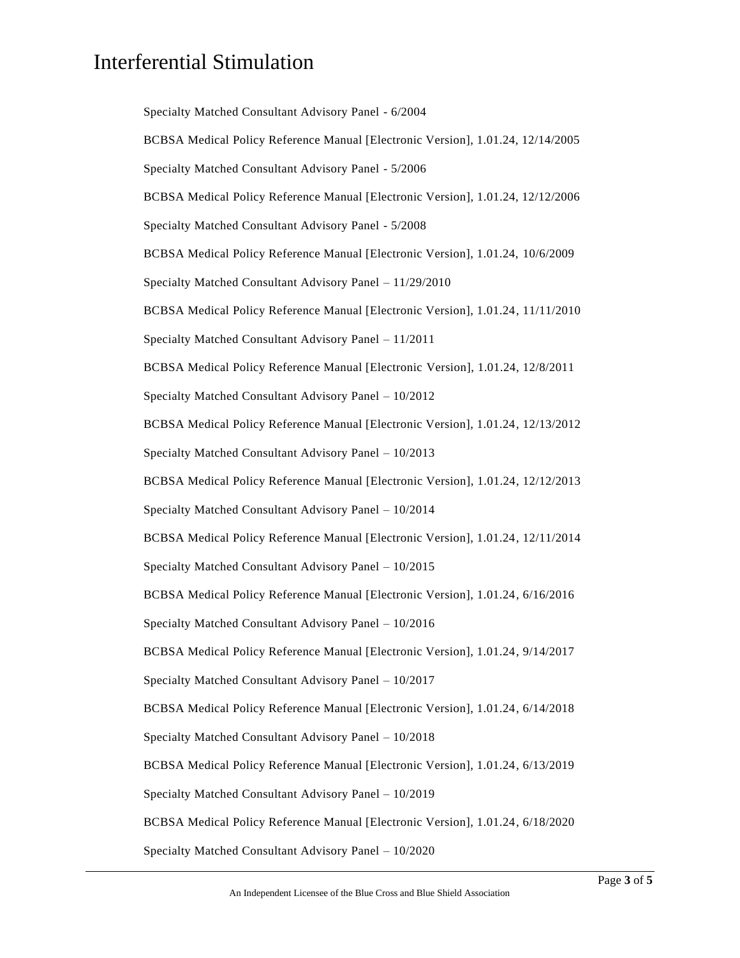Specialty Matched Consultant Advisory Panel - 6/2004 BCBSA Medical Policy Reference Manual [Electronic Version], 1.01.24, 12/14/2005 Specialty Matched Consultant Advisory Panel - 5/2006 BCBSA Medical Policy Reference Manual [Electronic Version], 1.01.24, 12/12/2006 Specialty Matched Consultant Advisory Panel - 5/2008 BCBSA Medical Policy Reference Manual [Electronic Version], 1.01.24, 10/6/2009 Specialty Matched Consultant Advisory Panel – 11/29/2010 BCBSA Medical Policy Reference Manual [Electronic Version], 1.01.24, 11/11/2010 Specialty Matched Consultant Advisory Panel – 11/2011 BCBSA Medical Policy Reference Manual [Electronic Version], 1.01.24, 12/8/2011 Specialty Matched Consultant Advisory Panel – 10/2012 BCBSA Medical Policy Reference Manual [Electronic Version], 1.01.24, 12/13/2012 Specialty Matched Consultant Advisory Panel – 10/2013 BCBSA Medical Policy Reference Manual [Electronic Version], 1.01.24, 12/12/2013 Specialty Matched Consultant Advisory Panel – 10/2014 BCBSA Medical Policy Reference Manual [Electronic Version], 1.01.24, 12/11/2014 Specialty Matched Consultant Advisory Panel – 10/2015 BCBSA Medical Policy Reference Manual [Electronic Version], 1.01.24, 6/16/2016 Specialty Matched Consultant Advisory Panel – 10/2016 BCBSA Medical Policy Reference Manual [Electronic Version], 1.01.24, 9/14/2017 Specialty Matched Consultant Advisory Panel – 10/2017 BCBSA Medical Policy Reference Manual [Electronic Version], 1.01.24, 6/14/2018 Specialty Matched Consultant Advisory Panel – 10/2018 BCBSA Medical Policy Reference Manual [Electronic Version], 1.01.24, 6/13/2019 Specialty Matched Consultant Advisory Panel – 10/2019 BCBSA Medical Policy Reference Manual [Electronic Version], 1.01.24, 6/18/2020 Specialty Matched Consultant Advisory Panel – 10/2020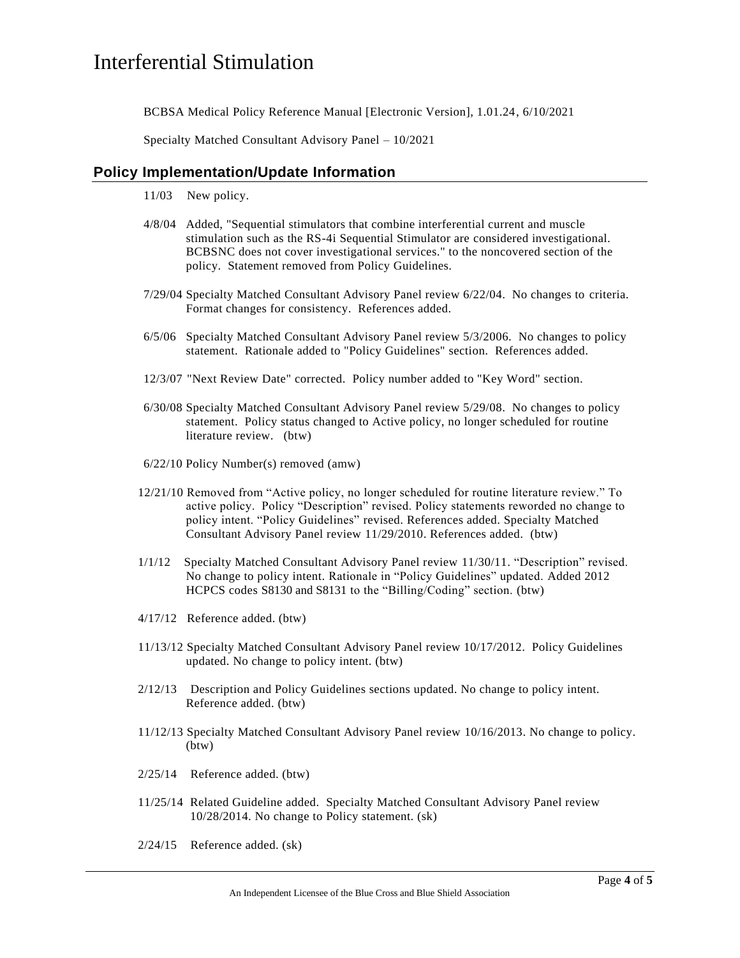BCBSA Medical Policy Reference Manual [Electronic Version], 1.01.24, 6/10/2021

Specialty Matched Consultant Advisory Panel – 10/2021

#### **Policy Implementation/Update Information**

- 11/03 New policy.
- 4/8/04 Added, "Sequential stimulators that combine interferential current and muscle stimulation such as the RS-4i Sequential Stimulator are considered investigational. BCBSNC does not cover investigational services." to the noncovered section of the policy. Statement removed from Policy Guidelines.
- 7/29/04 Specialty Matched Consultant Advisory Panel review 6/22/04. No changes to criteria. Format changes for consistency. References added.
- 6/5/06 Specialty Matched Consultant Advisory Panel review 5/3/2006. No changes to policy statement. Rationale added to "Policy Guidelines" section. References added.
- 12/3/07 "Next Review Date" corrected. Policy number added to "Key Word" section.
- 6/30/08 Specialty Matched Consultant Advisory Panel review 5/29/08. No changes to policy statement. Policy status changed to Active policy, no longer scheduled for routine literature review. (btw)
- 6/22/10 Policy Number(s) removed (amw)
- 12/21/10 Removed from "Active policy, no longer scheduled for routine literature review." To active policy. Policy "Description" revised. Policy statements reworded no change to policy intent. "Policy Guidelines" revised. References added. Specialty Matched Consultant Advisory Panel review 11/29/2010. References added. (btw)
- 1/1/12 Specialty Matched Consultant Advisory Panel review 11/30/11. "Description" revised. No change to policy intent. Rationale in "Policy Guidelines" updated. Added 2012 HCPCS codes S8130 and S8131 to the "Billing/Coding" section. (btw)
- 4/17/12 Reference added. (btw)
- 11/13/12 Specialty Matched Consultant Advisory Panel review 10/17/2012. Policy Guidelines updated. No change to policy intent. (btw)
- 2/12/13 Description and Policy Guidelines sections updated. No change to policy intent. Reference added. (btw)
- 11/12/13 Specialty Matched Consultant Advisory Panel review 10/16/2013. No change to policy. (btw)
- 2/25/14 Reference added. (btw)
- 11/25/14 Related Guideline added. Specialty Matched Consultant Advisory Panel review 10/28/2014. No change to Policy statement. (sk)
- 2/24/15 Reference added. (sk)